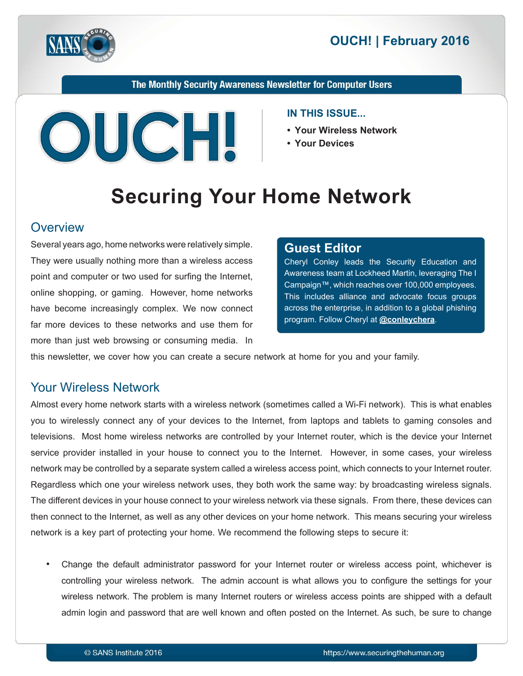



The Monthly Security Awareness Newsletter for Computer Users



#### **IN THIS ISSUE...**

- **Your Wireless Network**
- 

# **Securing Your Home Network**

#### **Overview**

Several years ago, home networks were relatively simple. They were usually nothing more than a wireless access point and computer or two used for surfing the Internet, online shopping, or gaming. However, home networks have become increasingly complex. We now connect far more devices to these networks and use them for more than just web browsing or consuming media. In

#### **Editor Guest**

Cheryl Conley leads the Security Education and Awareness team at Lockheed Martin, leveraging The I Campaign™, which reaches over 100,000 employees. This includes alliance and advocate focus groups across the enterprise, in addition to a global phishing program. Follow Cheryl at **@[conleychera](https://twitter.com/conleychera)**.

this newsletter, we cover how you can create a secure network at home for you and your family.

#### **Your Wireless Network**

Almost every home network starts with a wireless network (sometimes called a Wi-Fi network). This is what enables you to wirelessly connect any of your devices to the Internet, from laptops and tablets to gaming consoles and televisions. Most home wireless networks are controlled by your Internet router, which is the device your Internet service provider installed in your house to connect you to the Internet. However, in some cases, your wireless network may be controlled by a separate system called a wireless access point, which connects to your Internet router. Regardless which one your wireless network uses, they both work the same way: by broadcasting wireless signals. The different devices in your house connect to your wireless network via these signals. From there, these devices can then connect to the Internet, as well as any other devices on your home network. This means securing your wireless network is a key part of protecting your home. We recommend the following steps to secure it:

Change the default administrator password for your Internet router or wireless access point, whichever is controlling your wireless network. The admin account is what allows you to configure the settings for your wireless network. The problem is many Internet routers or wireless access points are shipped with a default admin login and password that are well known and often posted on the Internet. As such, be sure to change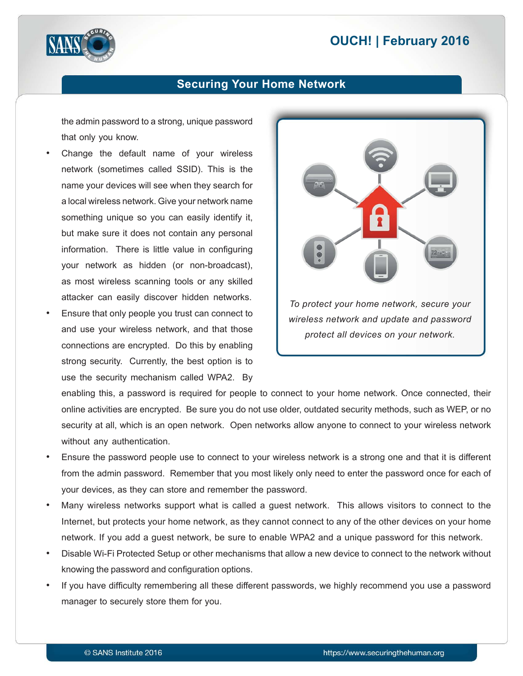## **2016 | OUCH! | February 2016**



#### **Securing Your Home Network**

the admin password to a strong, unique password that only you know.

- Change the default name of your wireless network (sometimes called SSID). This is the name your devices will see when they search for a local wireless network. Give your network name something unique so you can easily identify it. but make sure it does not contain any personal information. There is little value in configuring your network as hidden (or non-broadcast), as most wireless scanning tools or any skilled attacker can easily discover hidden networks.
- Ensure that only people you trust can connect to and use your wireless network, and that those connections are encrypted. Do this by enabling strong security. Currently, the best option is to use the security mechanism called WPA2. By



enabling this, a password is required for people to connect to your home network. Once connected, their online activities are encrypted. Be sure you do not use older, outdated security methods, such as WEP, or no security at all, which is an open network. Open networks allow anyone to connect to your wireless network without any authentication.

- Ensure the password people use to connect to your wireless network is a strong one and that it is different from the admin password. Remember that you most likely only need to enter the password once for each of your devices, as they can store and remember the password.
- Many wireless networks support what is called a guest network. This allows visitors to connect to the Internet, but protects your home network, as they cannot connect to any of the other devices on your home network. If you add a guest network, be sure to enable WPA2 and a unique password for this network.
- Disable Wi-Fi Protected Setup or other mechanisms that allow a new device to connect to the network without knowing the password and configuration options.
- If you have difficulty remembering all these different passwords, we highly recommend you use a password manager to securely store them for you.